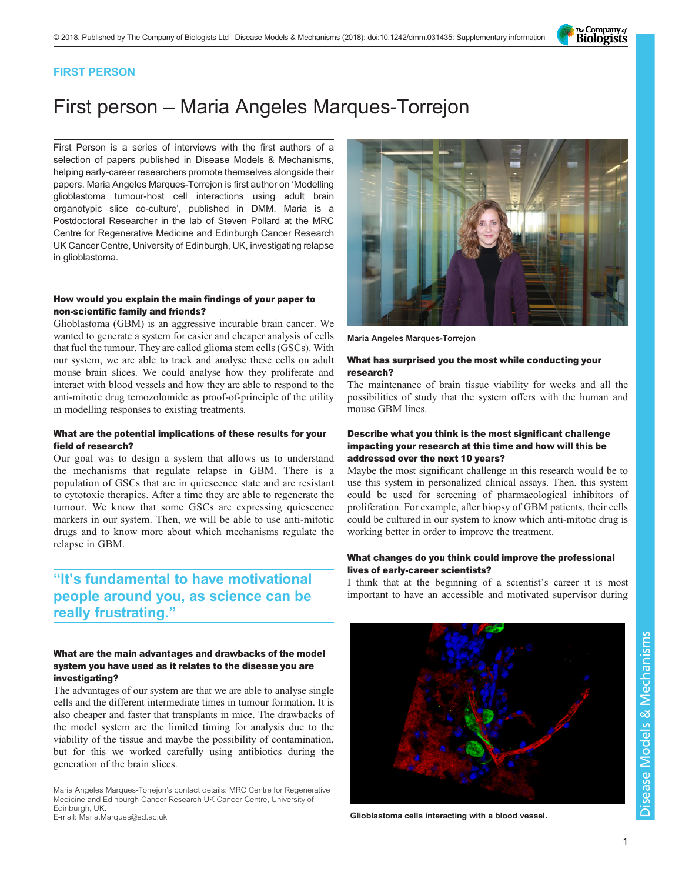The Company of<br>**Biologists** 

## FIRST PERSON

# First person – Maria Angeles Marques-Torrejon

First Person is a series of interviews with the first authors of a selection of papers published in Disease Models & Mechanisms, helping early-career researchers promote themselves alongside their papers. Maria Angeles Marques-Torrejon is first author on '[Modelling](#page-1-0) [glioblastoma tumour-host cell interactions using adult brain](#page-1-0) [organotypic slice co-culture](#page-1-0)', published in DMM. Maria is a Postdoctoral Researcher in the lab of Steven Pollard at the MRC Centre for Regenerative Medicine and Edinburgh Cancer Research UK Cancer Centre, University of Edinburgh, UK, investigating relapse in glioblastoma.

### How would you explain the main findings of your paper to non-scientific family and friends?

Glioblastoma (GBM) is an aggressive incurable brain cancer. We wanted to generate a system for easier and cheaper analysis of cells that fuel the tumour. They are called glioma stem cells (GSCs). With our system, we are able to track and analyse these cells on adult mouse brain slices. We could analyse how they proliferate and interact with blood vessels and how they are able to respond to the anti-mitotic drug temozolomide as proof-of-principle of the utility in modelling responses to existing treatments.

#### What are the potential implications of these results for your field of research?

Our goal was to design a system that allows us to understand the mechanisms that regulate relapse in GBM. There is a population of GSCs that are in quiescence state and are resistant to cytotoxic therapies. After a time they are able to regenerate the tumour. We know that some GSCs are expressing quiescence markers in our system. Then, we will be able to use anti-mitotic drugs and to know more about which mechanisms regulate the relapse in GBM.

# "It's fundamental to have motivational people around you, as science can be really frustrating."

### What are the main advantages and drawbacks of the model system you have used as it relates to the disease you are investigating?

The advantages of our system are that we are able to analyse single cells and the different intermediate times in tumour formation. It is also cheaper and faster that transplants in mice. The drawbacks of the model system are the limited timing for analysis due to the viability of the tissue and maybe the possibility of contamination, but for this we worked carefully using antibiotics during the generation of the brain slices.

Maria Angeles Marques-Torrejon's contact details: MRC Centre for Regenerative Medicine and Edinburgh Cancer Research UK Cancer Centre, University of Edinburgh, UK.





Maria Angeles Marques-Torrejon

#### What has surprised you the most while conducting your research?

The maintenance of brain tissue viability for weeks and all the possibilities of study that the system offers with the human and mouse GBM lines.

#### Describe what you think is the most significant challenge impacting your research at this time and how will this be addressed over the next 10 years?

Maybe the most significant challenge in this research would be to use this system in personalized clinical assays. Then, this system could be used for screening of pharmacological inhibitors of proliferation. For example, after biopsy of GBM patients, their cells could be cultured in our system to know which anti-mitotic drug is working better in order to improve the treatment.

### What changes do you think could improve the professional lives of early-career scientists?

I think that at the beginning of a scientist's career it is most important to have an accessible and motivated supervisor during



Glioblastoma cells interacting with a blood vessel.